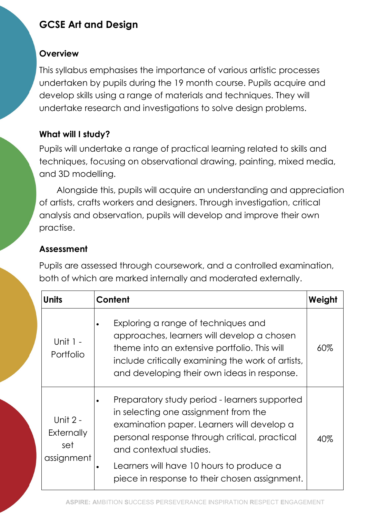# GCSE Art and Design

#### **Overview**

This syllabus emphasises the importance of various artistic processes undertaken by pupils during the 19 month course. Pupils acquire and develop skills using a range of materials and techniques. They will undertake research and investigations to solve design problems.

## What will I study?

Pupils will undertake a range of practical learning related to skills and techniques, focusing on observational drawing, painting, mixed media, and 3D modelling.

Alongside this, pupils will acquire an understanding and appreciation of artists, crafts workers and designers. Through investigation, critical analysis and observation, pupils will develop and improve their own practise.

## Assessment

Pupils are assessed through coursework, and a controlled examination, both of which are marked internally and moderated externally.

| Units                                         | Content                                                                                                                                                                                                                                                                                                      | Weight |
|-----------------------------------------------|--------------------------------------------------------------------------------------------------------------------------------------------------------------------------------------------------------------------------------------------------------------------------------------------------------------|--------|
| Unit 1 -<br>Portfolio                         | Exploring a range of techniques and<br>approaches, learners will develop a chosen<br>theme into an extensive portfolio. This will<br>include critically examining the work of artists,<br>and developing their own ideas in response.                                                                        | $60\%$ |
| Unit $2 -$<br>Externally<br>set<br>assignment | Preparatory study period - learners supported<br>in selecting one assignment from the<br>examination paper. Learners will develop a<br>personal response through critical, practical<br>and contextual studies.<br>Learners will have 10 hours to produce a<br>piece in response to their chosen assignment. | 40%    |